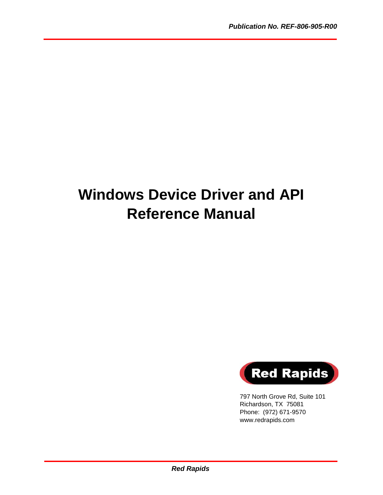# **Windows Device Driver and API Reference Manual**



797 North Grove Rd, Suite 101 Richardson, TX 75081 Phone: (972) 671-9570 www.redrapids.com

*Red Rapids*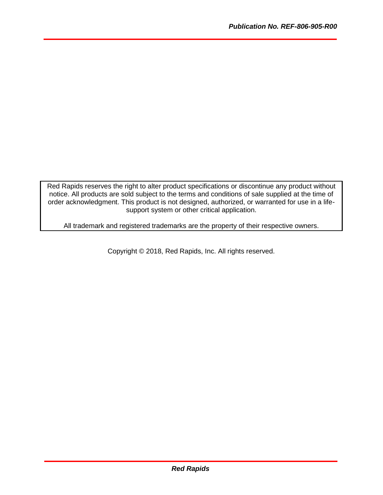Red Rapids reserves the right to alter product specifications or discontinue any product without notice. All products are sold subject to the terms and conditions of sale supplied at the time of order acknowledgment. This product is not designed, authorized, or warranted for use in a lifesupport system or other critical application.

All trademark and registered trademarks are the property of their respective owners.

Copyright © 2018, Red Rapids, Inc. All rights reserved.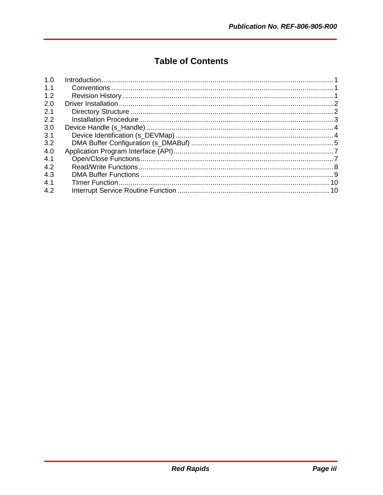# **Table of Contents**

| 1.0 |  |
|-----|--|
| 1.1 |  |
| 1.2 |  |
| 2.0 |  |
| 2.1 |  |
| 2.2 |  |
| 3.0 |  |
| 3.1 |  |
| 3.2 |  |
| 4.0 |  |
| 4.1 |  |
| 4.2 |  |
| 4.3 |  |
| 4.1 |  |
| 4.2 |  |
|     |  |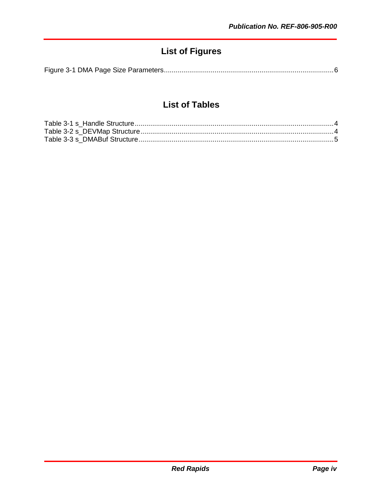# **List of Figures**

|--|--|--|--|

# **List of Tables**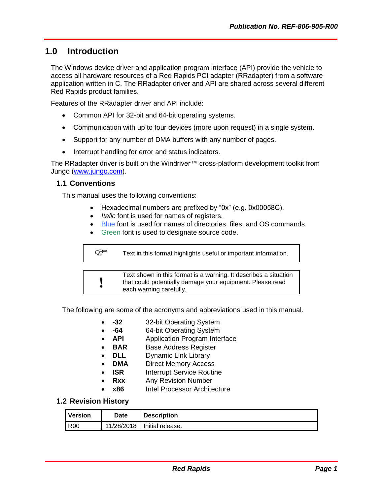# <span id="page-4-0"></span>**1.0 Introduction**

The Windows device driver and application program interface (API) provide the vehicle to access all hardware resources of a Red Rapids PCI adapter (RRadapter) from a software application written in C. The RRadapter driver and API are shared across several different Red Rapids product families.

Features of the RRadapter driver and API include:

- Common API for 32-bit and 64-bit operating systems.
- Communication with up to four devices (more upon request) in a single system.
- Support for any number of DMA buffers with any number of pages.
- Interrupt handling for error and status indicators.

The RRadapter driver is built on the Windriver™ cross-platform development toolkit from Jungo [\(www.jungo.com\)](www.jungo.com).

#### <span id="page-4-1"></span>**1.1 Conventions**

This manual uses the following conventions:

- Hexadecimal numbers are prefixed by "0x" (e.g. 0x00058C).
- *Italic* font is used for names of registers.
- Blue font is used for names of directories, files, and OS commands.
- Green font is used to designate source code.

```
Text in this format highlights useful or important information.
```
**!** Text shown in this format is a warning. It describes a situation that could potentially damage your equipment. Please read each warning carefully.

The following are some of the acronyms and abbreviations used in this manual.

- **-32** 32-bit Operating System
- **-64** 64-bit Operating System
- **API** Application Program Interface
- **BAR** Base Address Register
- **DLL** Dynamic Link Library
- **DMA** Direct Memory Access
- **ISR** Interrupt Service Routine
- **Rxx** Any Revision Number
- **x86** Intel Processor Architecture

#### <span id="page-4-2"></span>**1.2 Revision History**

| <b>Version</b> | Date | <b>Description</b>            |
|----------------|------|-------------------------------|
| R00            |      | 11/28/2018   Initial release. |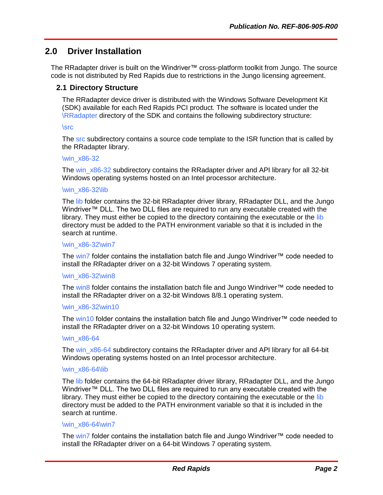# <span id="page-5-0"></span>**2.0 Driver Installation**

The RRadapter driver is built on the Windriver™ cross-platform toolkit from Jungo. The source code is not distributed by Red Rapids due to restrictions in the Jungo licensing agreement.

#### <span id="page-5-1"></span>**2.1 Directory Structure**

The RRadapter device driver is distributed with the Windows Software Development Kit (SDK) available for each Red Rapids PCI product. The software is located under the \RRadapter directory of the SDK and contains the following subdirectory structure:

#### \src

The src subdirectory contains a source code template to the ISR function that is called by the RRadapter library.

#### \win\_x86-32

The win x86-32 subdirectory contains the RRadapter driver and API library for all 32-bit Windows operating systems hosted on an Intel processor architecture.

#### \win\_x86-32\lib

The lib folder contains the 32-bit RRadapter driver library, RRadapter DLL, and the Jungo Windriver™ DLL. The two DLL files are required to run any executable created with the library. They must either be copied to the directory containing the executable or the lib directory must be added to the PATH environment variable so that it is included in the search at runtime.

#### \win\_x86-32\win7

The win7 folder contains the installation batch file and Jungo Windriver™ code needed to install the RRadapter driver on a 32-bit Windows 7 operating system.

#### \win\_x86-32\win8

The win8 folder contains the installation batch file and Jungo Windriver™ code needed to install the RRadapter driver on a 32-bit Windows 8/8.1 operating system.

#### \win\_x86-32\win10

The win10 folder contains the installation batch file and Jungo Windriver™ code needed to install the RRadapter driver on a 32-bit Windows 10 operating system.

#### \win\_x86-64

The win\_x86-64 subdirectory contains the RRadapter driver and API library for all 64-bit Windows operating systems hosted on an Intel processor architecture.

#### \win\_x86-64\lib

The lib folder contains the 64-bit RRadapter driver library, RRadapter DLL, and the Jungo Windriver™ DLL. The two DLL files are required to run any executable created with the library. They must either be copied to the directory containing the executable or the lib directory must be added to the PATH environment variable so that it is included in the search at runtime.

#### \win\_x86-64\win7

The win7 folder contains the installation batch file and Jungo Windriver™ code needed to install the RRadapter driver on a 64-bit Windows 7 operating system.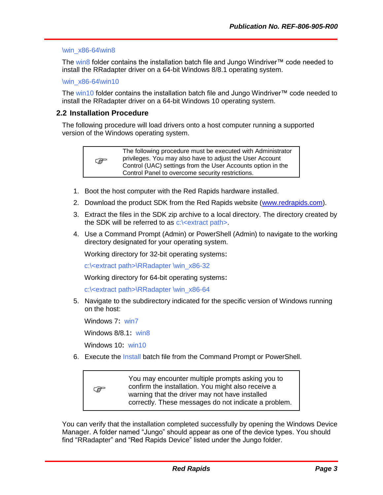#### \win\_x86-64\win8

The win8 folder contains the installation batch file and Jungo Windriver™ code needed to install the RRadapter driver on a 64-bit Windows 8/8.1 operating system.

\win\_x86-64\win10

The win10 folder contains the installation batch file and Jungo Windriver™ code needed to install the RRadapter driver on a 64-bit Windows 10 operating system.

#### <span id="page-6-0"></span>**2.2 Installation Procedure**

The following procedure will load drivers onto a host computer running a supported version of the Windows operating system.



The following procedure must be executed with Administrator privileges. You may also have to adjust the User Account Control (UAC) settings from the User Accounts option in the Control Panel to overcome security restrictions.

- 1. Boot the host computer with the Red Rapids hardware installed.
- 2. Download the product SDK from the Red Rapids website [\(www.redrapids.com\)](http://www.redrapids.com/).
- 3. Extract the files in the SDK zip archive to a local directory. The directory created by the SDK will be referred to as  $c$ :  $\leq$  extract path  $\geq$ .
- 4. Use a Command Prompt (Admin) or PowerShell (Admin) to navigate to the working directory designated for your operating system.

Working directory for 32-bit operating systems:

c:\<extract path>\RRadapter \win\_x86-32

Working directory for 64-bit operating systems:

c:\<extract path>\RRadapter \win\_x86-64

5. Navigate to the subdirectory indicated for the specific version of Windows running on the host:

Windows 7: win7

Windows 8/8.1: win8

Windows 10: win10

6. Execute the Install batch file from the Command Prompt or PowerShell.

ক্লে You may encounter multiple prompts asking you to confirm the installation. You might also receive a warning that the driver may not have installed correctly. These messages do not indicate a problem.

You can verify that the installation completed successfully by opening the Windows Device Manager. A folder named "Jungo" should appear as one of the device types. You should find "RRadapter" and "Red Rapids Device" listed under the Jungo folder.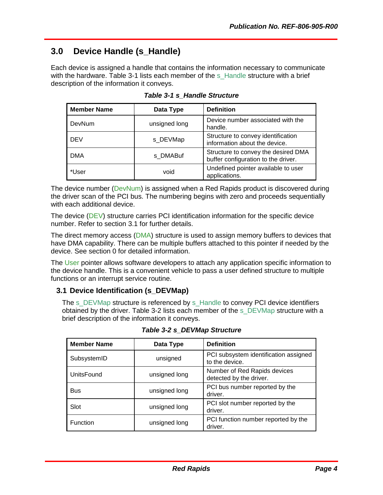# <span id="page-7-0"></span>**3.0 Device Handle (s\_Handle)**

Each device is assigned a handle that contains the information necessary to communicate with the hardware. [Table 3-1](#page-7-2) lists each member of the s\_Handle structure with a brief description of the information it conveys.

<span id="page-7-2"></span>

| <b>Member Name</b> | Data Type     | <b>Definition</b>                                                          |
|--------------------|---------------|----------------------------------------------------------------------------|
| DevNum             | unsigned long | Device number associated with the<br>handle.                               |
| <b>DEV</b>         | s DEVMap      | Structure to convey identification<br>information about the device.        |
| <b>DMA</b>         | s DMABuf      | Structure to convey the desired DMA<br>buffer configuration to the driver. |
| *User              | void          | Undefined pointer available to user<br>applications.                       |

*Table 3-1 s\_Handle Structure*

The device number (DevNum) is assigned when a Red Rapids product is discovered during the driver scan of the PCI bus. The numbering begins with zero and proceeds sequentially with each additional device.

The device (DEV) structure carries PCI identification information for the specific device number. Refer to section [3.1](#page-7-1) for further details.

The direct memory access (DMA) structure is used to assign memory buffers to devices that have DMA capability. There can be multiple buffers attached to this pointer if needed by the device. See section [0](#page-8-2) for detailed information.

The User pointer allows software developers to attach any application specific information to the device handle. This is a convenient vehicle to pass a user defined structure to multiple functions or an interrupt service routine.

## <span id="page-7-1"></span>**3.1 Device Identification (s\_DEVMap)**

The s\_DEVMap structure is referenced by s\_Handle to convey PCI device identifiers obtained by the driver. [Table 3-2](#page-7-3) lists each member of the s\_DEVMap structure with a brief description of the information it conveys.

<span id="page-7-3"></span>

| <b>Member Name</b> | Data Type     | <b>Definition</b>                                       |
|--------------------|---------------|---------------------------------------------------------|
| SubsystemID        | unsigned      | PCI subsystem identification assigned<br>to the device. |
| UnitsFound         | unsigned long | Number of Red Rapids devices<br>detected by the driver. |
| Bus                | unsigned long | PCI bus number reported by the<br>driver.               |
| Slot               | unsigned long | PCI slot number reported by the<br>driver.              |
| <b>Function</b>    | unsigned long | PCI function number reported by the<br>driver.          |

*Table 3-2 s\_DEVMap Structure*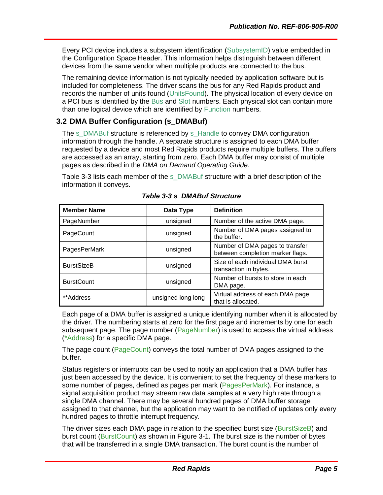<span id="page-8-2"></span>Every PCI device includes a subsystem identification (SubsystemID) value embedded in the Configuration Space Header. This information helps distinguish between different devices from the same vendor when multiple products are connected to the bus.

The remaining device information is not typically needed by application software but is included for completeness. The driver scans the bus for any Red Rapids product and records the number of units found (UnitsFound). The physical location of every device on a PCI bus is identified by the Bus and Slot numbers. Each physical slot can contain more than one logical device which are identified by Function numbers.

## <span id="page-8-0"></span>**3.2 DMA Buffer Configuration (s\_DMABuf)**

The s\_DMABuf structure is referenced by s\_Handle to convey DMA configuration information through the handle. A separate structure is assigned to each DMA buffer requested by a device and most Red Rapids products require multiple buffers. The buffers are accessed as an array, starting from zero. Each DMA buffer may consist of multiple pages as described in the *DMA on Demand Operating Guide*.

[Table 3-3](#page-8-1) lists each member of the s\_DMABuf structure with a brief description of the information it conveys.

<span id="page-8-1"></span>

| <b>Member Name</b> | Data Type          | <b>Definition</b>                                                   |
|--------------------|--------------------|---------------------------------------------------------------------|
| PageNumber         | unsigned           | Number of the active DMA page.                                      |
| PageCount          | unsigned           | Number of DMA pages assigned to<br>the buffer.                      |
| PagesPerMark       | unsigned           | Number of DMA pages to transfer<br>between completion marker flags. |
| <b>BurstSizeB</b>  | unsigned           | Size of each individual DMA burst<br>transaction in bytes.          |
| <b>BurstCount</b>  | unsigned           | Number of bursts to store in each<br>DMA page.                      |
| **Address*         | unsigned long long | Virtual address of each DMA page<br>that is allocated.              |

*Table 3-3 s\_DMABuf Structure*

Each page of a DMA buffer is assigned a unique identifying number when it is allocated by the driver. The numbering starts at zero for the first page and increments by one for each subsequent page. The page number (PageNumber) is used to access the virtual address (\*Address) for a specific DMA page.

The page count (PageCount) conveys the total number of DMA pages assigned to the buffer.

Status registers or interrupts can be used to notify an application that a DMA buffer has just been accessed by the device. It is convenient to set the frequency of these markers to some number of pages, defined as pages per mark (PagesPerMark). For instance, a signal acquisition product may stream raw data samples at a very high rate through a single DMA channel. There may be several hundred pages of DMA buffer storage assigned to that channel, but the application may want to be notified of updates only every hundred pages to throttle interrupt frequency.

The driver sizes each DMA page in relation to the specified burst size (BurstSizeB) and burst count (BurstCount) as shown in [Figure 3-1.](#page-9-0) The burst size is the number of bytes that will be transferred in a single DMA transaction. The burst count is the number of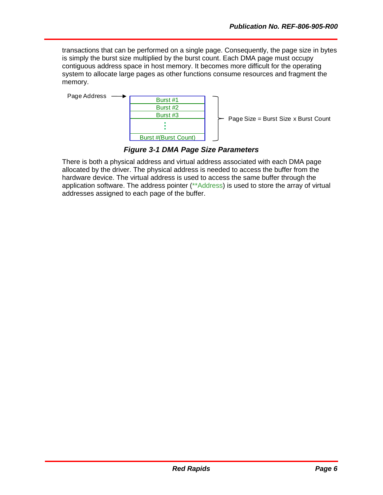transactions that can be performed on a single page. Consequently, the page size in bytes is simply the burst size multiplied by the burst count. Each DMA page must occupy contiguous address space in host memory. It becomes more difficult for the operating system to allocate large pages as other functions consume resources and fragment the memory.



Page Size = Burst Size x Burst Count

## *Figure 3-1 DMA Page Size Parameters*

<span id="page-9-0"></span>There is both a physical address and virtual address associated with each DMA page allocated by the driver. The physical address is needed to access the buffer from the hardware device. The virtual address is used to access the same buffer through the application software. The address pointer (\*\*Address) is used to store the array of virtual addresses assigned to each page of the buffer.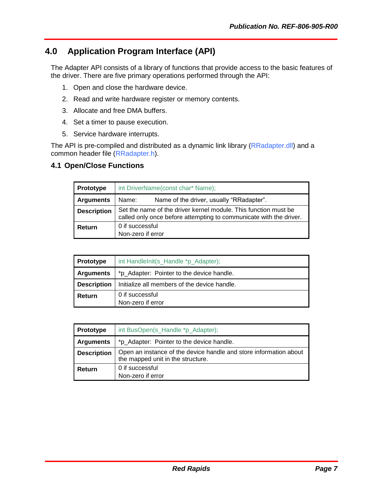# <span id="page-10-0"></span>**4.0 Application Program Interface (API)**

The Adapter API consists of a library of functions that provide access to the basic features of the driver. There are five primary operations performed through the API:

- 1. Open and close the hardware device.
- 2. Read and write hardware register or memory contents.
- 3. Allocate and free DMA buffers.
- 4. Set a timer to pause execution.
- 5. Service hardware interrupts.

The API is pre-compiled and distributed as a dynamic link library (RRadapter.dll) and a common header file (RRadapter.h).

### <span id="page-10-1"></span>**4.1 Open/Close Functions**

| <b>Prototype</b>   | int DriverName(const char* Name);                                                                                                     |  |  |
|--------------------|---------------------------------------------------------------------------------------------------------------------------------------|--|--|
| <b>Arguments</b>   | Name of the driver, usually "RRadapter".<br>Name:                                                                                     |  |  |
| <b>Description</b> | Set the name of the driver kernel module. This function must be<br>called only once before attempting to communicate with the driver. |  |  |
| Return             | 0 if successful<br>Non-zero if error                                                                                                  |  |  |

| <b>Prototype</b>                                                   | int HandleInit(s_Handle *p_Adapter);      |  |  |
|--------------------------------------------------------------------|-------------------------------------------|--|--|
| <b>Arguments</b>                                                   | *p_Adapter: Pointer to the device handle. |  |  |
| Initialize all members of the device handle.<br><b>Description</b> |                                           |  |  |
| 0 if successful<br>Return<br>Non-zero if error                     |                                           |  |  |

| <b>Prototype</b>   | int BusOpen(s_Handle *p_Adapter);                                                                      |  |  |
|--------------------|--------------------------------------------------------------------------------------------------------|--|--|
| <b>Arguments</b>   | *p_Adapter: Pointer to the device handle.                                                              |  |  |
| <b>Description</b> | Open an instance of the device handle and store information about<br>the mapped unit in the structure. |  |  |
| Return             | 0 if successful<br>Non-zero if error                                                                   |  |  |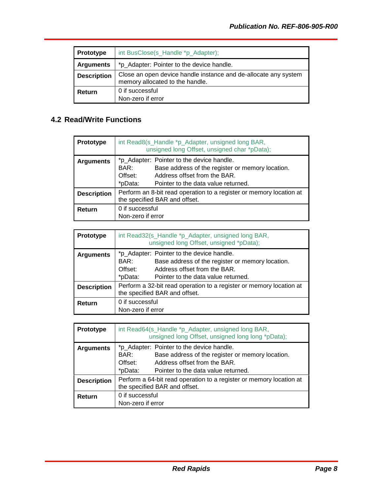| <b>Prototype</b>   | int BusClose(s_Handle *p_Adapter);                                                                 |  |  |
|--------------------|----------------------------------------------------------------------------------------------------|--|--|
| <b>Arguments</b>   | *p_Adapter: Pointer to the device handle.                                                          |  |  |
| <b>Description</b> | Close an open device handle instance and de-allocate any system<br>memory allocated to the handle. |  |  |
| Return             | 0 if successful<br>Non-zero if error                                                               |  |  |

# <span id="page-11-0"></span>**4.2 Read/Write Functions**

| Prototype          | int Read8(s_Handle *p_Adapter, unsigned long BAR,<br>unsigned long Offset, unsigned char *pData);    |                                                                                                                                                                      |  |
|--------------------|------------------------------------------------------------------------------------------------------|----------------------------------------------------------------------------------------------------------------------------------------------------------------------|--|
| <b>Arguments</b>   | BAR:<br>Offset:<br>*pData:                                                                           | *p_Adapter: Pointer to the device handle.<br>Base address of the register or memory location.<br>Address offset from the BAR.<br>Pointer to the data value returned. |  |
| <b>Description</b> | Perform an 8-bit read operation to a register or memory location at<br>the specified BAR and offset. |                                                                                                                                                                      |  |
| Return             | 0 if successful<br>Non-zero if error                                                                 |                                                                                                                                                                      |  |

| <b>Prototype</b>   |                                      | int Read32(s_Handle *p_Adapter, unsigned long BAR,<br>unsigned long Offset, unsigned *pData);                                                                        |
|--------------------|--------------------------------------|----------------------------------------------------------------------------------------------------------------------------------------------------------------------|
| <b>Arguments</b>   | BAR:<br>Offset:<br>*pData:           | *p_Adapter: Pointer to the device handle.<br>Base address of the register or memory location.<br>Address offset from the BAR.<br>Pointer to the data value returned. |
| <b>Description</b> |                                      | Perform a 32-bit read operation to a register or memory location at<br>the specified BAR and offset.                                                                 |
| Return             | 0 if successful<br>Non-zero if error |                                                                                                                                                                      |

| <b>Prototype</b>   |                                      | int Read64(s_Handle *p_Adapter, unsigned long BAR,<br>unsigned long Offset, unsigned long long *pData);                                                              |
|--------------------|--------------------------------------|----------------------------------------------------------------------------------------------------------------------------------------------------------------------|
| <b>Arguments</b>   | BAR:<br>Offset:<br>*pData:           | *p_Adapter: Pointer to the device handle.<br>Base address of the register or memory location.<br>Address offset from the BAR.<br>Pointer to the data value returned. |
| <b>Description</b> |                                      | Perform a 64-bit read operation to a register or memory location at<br>the specified BAR and offset.                                                                 |
| Return             | 0 if successful<br>Non-zero if error |                                                                                                                                                                      |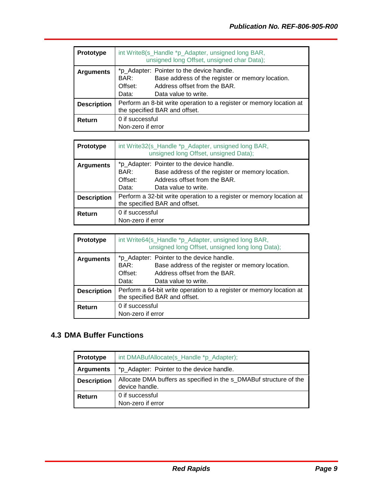| <b>Prototype</b>   | int Write8(s_Handle *p_Adapter, unsigned long BAR,<br>unsigned long Offset, unsigned char Data);                                                                                  |  |
|--------------------|-----------------------------------------------------------------------------------------------------------------------------------------------------------------------------------|--|
| <b>Arguments</b>   | *p_Adapter: Pointer to the device handle.<br>Base address of the register or memory location.<br>BAR:<br>Address offset from the BAR.<br>Offset:<br>Data value to write.<br>Data: |  |
| <b>Description</b> | Perform an 8-bit write operation to a register or memory location at<br>the specified BAR and offset.                                                                             |  |
| Return             | 0 if successful<br>Non-zero if error                                                                                                                                              |  |

| Prototype          | int Write 32(s_Handle *p_Adapter, unsigned long BAR,<br>unsigned long Offset, unsigned Data);                                                                                     |  |
|--------------------|-----------------------------------------------------------------------------------------------------------------------------------------------------------------------------------|--|
| <b>Arguments</b>   | *p_Adapter: Pointer to the device handle.<br>Base address of the register or memory location.<br>BAR:<br>Address offset from the BAR.<br>Offset:<br>Data value to write.<br>Data: |  |
| <b>Description</b> | Perform a 32-bit write operation to a register or memory location at<br>the specified BAR and offset.                                                                             |  |
| Return             | 0 if successful<br>Non-zero if error                                                                                                                                              |  |

| <b>Prototype</b>   | int Write64(s_Handle *p_Adapter, unsigned long BAR,<br>unsigned long Offset, unsigned long long Data);                                                                            |  |
|--------------------|-----------------------------------------------------------------------------------------------------------------------------------------------------------------------------------|--|
| <b>Arguments</b>   | *p_Adapter: Pointer to the device handle.<br>BAR:<br>Base address of the register or memory location.<br>Address offset from the BAR.<br>Offset:<br>Data value to write.<br>Data: |  |
| <b>Description</b> | Perform a 64-bit write operation to a register or memory location at<br>the specified BAR and offset.                                                                             |  |
| Return             | 0 if successful<br>Non-zero if error                                                                                                                                              |  |

# <span id="page-12-0"></span>**4.3 DMA Buffer Functions**

| <b>Prototype</b>   | int DMABufAllocate(s_Handle *p_Adapter);                                             |
|--------------------|--------------------------------------------------------------------------------------|
| <b>Arguments</b>   | *p_Adapter: Pointer to the device handle.                                            |
| <b>Description</b> | Allocate DMA buffers as specified in the s DMABuf structure of the<br>device handle. |
| Return             | 0 if successful<br>Non-zero if error                                                 |